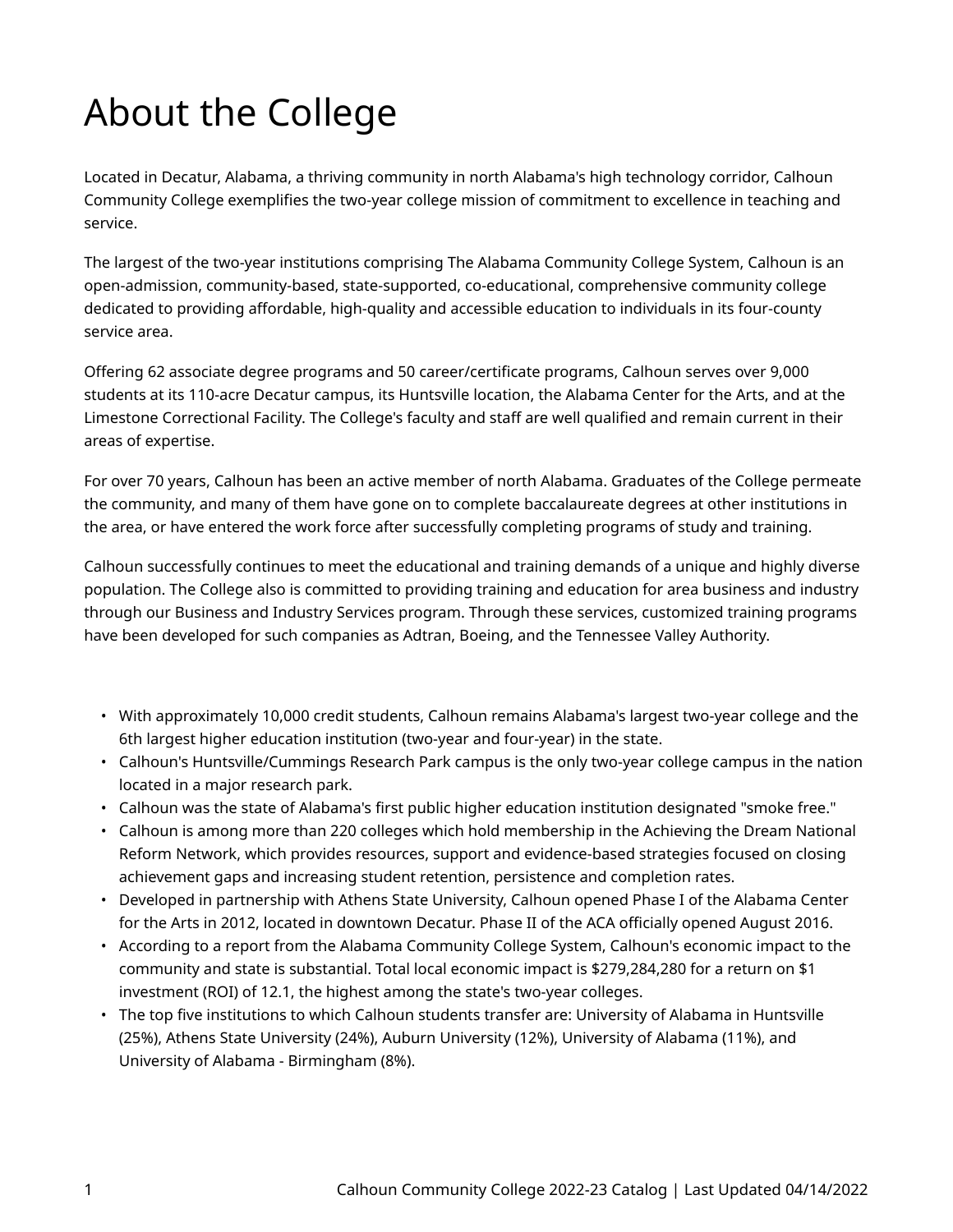## About the College

Located in Decatur, Alabama, a thriving community in north Alabama's high technology corridor, Calhoun Community College exemplifies the two-year college mission of commitment to excellence in teaching and service.

The largest of the two-year institutions comprising The Alabama Community College System, Calhoun is an open-admission, community-based, state-supported, co-educational, comprehensive community college dedicated to providing affordable, high-quality and accessible education to individuals in its four-county service area.

Offering 62 associate degree programs and 50 career/certificate programs, Calhoun serves over 9,000 students at its 110-acre Decatur campus, its Huntsville location, the Alabama Center for the Arts, and at the Limestone Correctional Facility. The College's faculty and staff are well qualified and remain current in their areas of expertise.

For over 70 years, Calhoun has been an active member of north Alabama. Graduates of the College permeate the community, and many of them have gone on to complete baccalaureate degrees at other institutions in the area, or have entered the work force after successfully completing programs of study and training.

Calhoun successfully continues to meet the educational and training demands of a unique and highly diverse population. The College also is committed to providing training and education for area business and industry through our Business and Industry Services program. Through these services, customized training programs have been developed for such companies as Adtran, Boeing, and the Tennessee Valley Authority.

- With approximately 10,000 credit students, Calhoun remains Alabama's largest two-year college and the 6th largest higher education institution (two-year and four-year) in the state.
- Calhoun's Huntsville/Cummings Research Park campus is the only two-year college campus in the nation located in a major research park.
- Calhoun was the state of Alabama's first public higher education institution designated "smoke free."
- Calhoun is among more than 220 colleges which hold membership in the Achieving the Dream National Reform Network, which provides resources, support and evidence-based strategies focused on closing achievement gaps and increasing student retention, persistence and completion rates.
- Developed in partnership with Athens State University, Calhoun opened Phase I of the Alabama Center for the Arts in 2012, located in downtown Decatur. Phase II of the ACA officially opened August 2016.
- According to a report from the Alabama Community College System, Calhoun's economic impact to the community and state is substantial. Total local economic impact is \$279,284,280 for a return on \$1 investment (ROI) of 12.1, the highest among the state's two-year colleges.
- The top five institutions to which Calhoun students transfer are: University of Alabama in Huntsville (25%), Athens State University (24%), Auburn University (12%), University of Alabama (11%), and University of Alabama - Birmingham (8%).